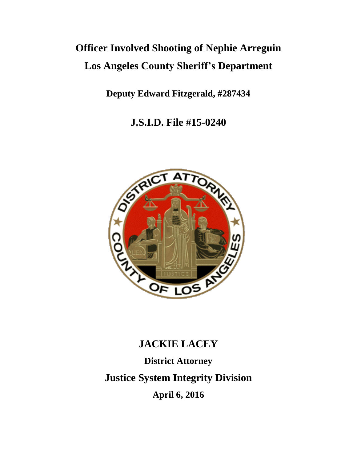# **Officer Involved Shooting of Nephie Arreguin Los Angeles County Sheriff's Department**

**Deputy Edward Fitzgerald, #287434**

**J.S.I.D. File #15-0240**



# **JACKIE LACEY**

**District Attorney Justice System Integrity Division April 6, 2016**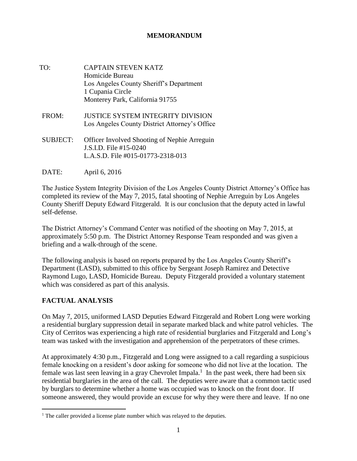#### **MEMORANDUM**

- TO: CAPTAIN STEVEN KATZ Homicide Bureau Los Angeles County Sheriff's Department 1 Cupania Circle Monterey Park, California 91755
- FROM: JUSTICE SYSTEM INTEGRITY DIVISION Los Angeles County District Attorney's Office
- SUBJECT: Officer Involved Shooting of Nephie Arreguin J.S.I.D. File #15-0240 L.A.S.D. File #015-01773-2318-013

DATE: April 6, 2016

The Justice System Integrity Division of the Los Angeles County District Attorney's Office has completed its review of the May 7, 2015, fatal shooting of Nephie Arreguin by Los Angeles County Sheriff Deputy Edward Fitzgerald. It is our conclusion that the deputy acted in lawful self-defense.

The District Attorney's Command Center was notified of the shooting on May 7, 2015, at approximately 5:50 p.m. The District Attorney Response Team responded and was given a briefing and a walk-through of the scene.

The following analysis is based on reports prepared by the Los Angeles County Sheriff's Department (LASD), submitted to this office by Sergeant Joseph Ramirez and Detective Raymond Lugo, LASD, Homicide Bureau. Deputy Fitzgerald provided a voluntary statement which was considered as part of this analysis.

## **FACTUAL ANALYSIS**

 $\overline{a}$ 

On May 7, 2015, uniformed LASD Deputies Edward Fitzgerald and Robert Long were working a residential burglary suppression detail in separate marked black and white patrol vehicles. The City of Cerritos was experiencing a high rate of residential burglaries and Fitzgerald and Long's team was tasked with the investigation and apprehension of the perpetrators of these crimes.

At approximately 4:30 p.m., Fitzgerald and Long were assigned to a call regarding a suspicious female knocking on a resident's door asking for someone who did not live at the location. The female was last seen leaving in a gray Chevrolet Impala.<sup>1</sup> In the past week, there had been six residential burglaries in the area of the call. The deputies were aware that a common tactic used by burglars to determine whether a home was occupied was to knock on the front door. If someone answered, they would provide an excuse for why they were there and leave. If no one

<sup>&</sup>lt;sup>1</sup> The caller provided a license plate number which was relayed to the deputies.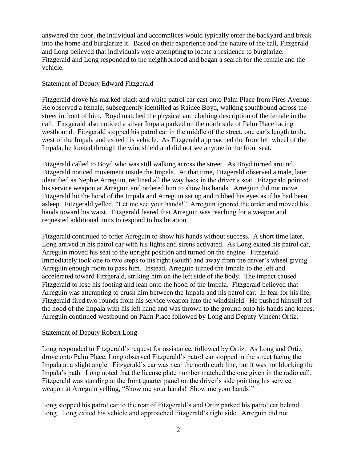answered the door, the individual and accomplices would typically enter the backyard and break into the home and burglarize it. Based on their experience and the nature of the call, Fitzgerald and Long believed that individuals were attempting to locate a residence to burglarize. Fitzgerald and Long responded to the neighborhood and began a search for the female and the vehicle.

#### Statement of Deputy Edward Fitzgerald

Fitzgerald drove his marked black and white patrol car east onto Palm Place from Pires Avenue. He observed a female, subsequently identified as Rainee Boyd, walking southbound across the street in front of him. Boyd matched the physical and clothing description of the female in the call. Fitzgerald also noticed a silver Impala parked on the north side of Palm Place facing westbound. Fitzgerald stopped his patrol car in the middle of the street, one car's length to the west of the Impala and exited his vehicle. As Fitzgerald approached the front left wheel of the Impala, he looked through the windshield and did not see anyone in the front seat.

Fitzgerald called to Boyd who was still walking across the street. As Boyd turned around, Fitzgerald noticed movement inside the Impala. At that time, Fitzgerald observed a male, later identified as Nephie Arreguin, reclined all the way back in the driver's seat. Fitzgerald pointed his service weapon at Arreguin and ordered him to show his hands. Arreguin did not move. Fitzgerald hit the hood of the Impala and Arreguin sat up and rubbed his eyes as if he had been asleep. Fitzgerald yelled, "Let me see your hands!" Arreguin ignored the order and moved his hands toward his waist. Fitzgerald feared that Arreguin was reaching for a weapon and requested additional units to respond to his location.

Fitzgerald continued to order Arreguin to show his hands without success. A short time later, Long arrived in his patrol car with his lights and sirens activated. As Long exited his patrol car, Arreguin moved his seat to the upright position and turned on the engine. Fitzgerald immediately took one to two steps to his right (south) and away from the driver's wheel giving Arreguin enough room to pass him. Instead, Arreguin turned the Impala to the left and accelerated toward Fitzgerald, striking him on the left side of the body. The impact caused Fitzgerald to lose his footing and lean onto the hood of the Impala. Fitzgerald believed that Arreguin was attempting to crush him between the Impala and his patrol car. In fear for his life, Fitzgerald fired two rounds from his service weapon into the windshield. He pushed himself off the hood of the Impala with his left hand and was thrown to the ground onto his hands and knees. Arreguin continued westbound on Palm Place followed by Long and Deputy Vincent Ortiz.

#### Statement of Deputy Robert Long

Long responded to Fitzgerald's request for assistance, followed by Ortiz. As Long and Ortiz drove onto Palm Place, Long observed Fitzgerald's patrol car stopped in the street facing the Impala at a slight angle. Fitzgerald's car was near the north curb line, but it was not blocking the Impala's path. Long noted that the license plate number matched the one given in the radio call. Fitzgerald was standing at the front quarter panel on the driver's side pointing his service weapon at Arreguin yelling, "Show me your hands! Show me your hands!"

Long stopped his patrol car to the rear of Fitzgerald's and Ortiz parked his patrol car behind Long. Long exited his vehicle and approached Fitzgerald's right side. Arreguin did not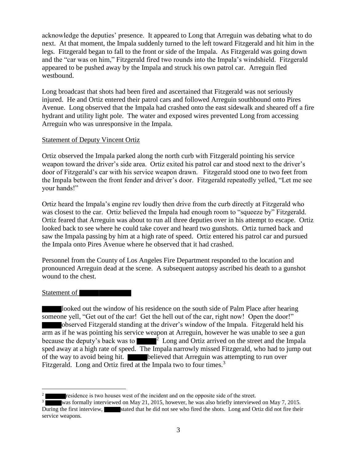acknowledge the deputies' presence. It appeared to Long that Arreguin was debating what to do next. At that moment, the Impala suddenly turned to the left toward Fitzgerald and hit him in the legs. Fitzgerald began to fall to the front or side of the Impala. As Fitzgerald was going down and the "car was on him," Fitzgerald fired two rounds into the Impala's windshield. Fitzgerald appeared to be pushed away by the Impala and struck his own patrol car. Arreguin fled westbound.

Long broadcast that shots had been fired and ascertained that Fitzgerald was not seriously injured. He and Ortiz entered their patrol cars and followed Arreguin southbound onto Pires Avenue. Long observed that the Impala had crashed onto the east sidewalk and sheared off a fire hydrant and utility light pole. The water and exposed wires prevented Long from accessing Arreguin who was unresponsive in the Impala.

#### Statement of Deputy Vincent Ortiz

Ortiz observed the Impala parked along the north curb with Fitzgerald pointing his service weapon toward the driver's side area. Ortiz exited his patrol car and stood next to the driver's door of Fitzgerald's car with his service weapon drawn. Fitzgerald stood one to two feet from the Impala between the front fender and driver's door. Fitzgerald repeatedly yelled, "Let me see your hands!"

Ortiz heard the Impala's engine rev loudly then drive from the curb directly at Fitzgerald who was closest to the car. Ortiz believed the Impala had enough room to "squeeze by" Fitzgerald. Ortiz feared that Arreguin was about to run all three deputies over in his attempt to escape. Ortiz looked back to see where he could take cover and heard two gunshots. Ortiz turned back and saw the Impala passing by him at a high rate of speed. Ortiz entered his patrol car and pursued the Impala onto Pires Avenue where he observed that it had crashed.

Personnel from the County of Los Angeles Fire Department responded to the location and pronounced Arreguin dead at the scene. A subsequent autopsy ascribed his death to a gunshot wound to the chest.

#### Statement of

 $\overline{a}$ 

looked out the window of his residence on the south side of Palm Place after hearing someone yell, "Get out of the car! Get the hell out of the car, right now! Open the door!" observed Fitzgerald standing at the driver's window of the Impala. Fitzgerald held his arm as if he was pointing his service weapon at Arreguin, however he was unable to see a gun because the deputy's back was to  $\sqrt{2}$  Long and Ortiz arrived on the street and the Impala sped away at a high rate of speed. The Impala narrowly missed Fitzgerald, who had to jump out of the way to avoid being hit. believed that Arreguin was attempting to run over Fitzgerald. Long and Ortiz fired at the Impala two to four times.<sup>3</sup>

<sup>2</sup> residence is two houses west of the incident and on the opposite side of the street.

was formally interviewed on May 21, 2015, however, he was also briefly interviewed on May 7, 2015. During the first interview, stated that he did not see who fired the shots. Long and Ortiz did not fire their service weapons.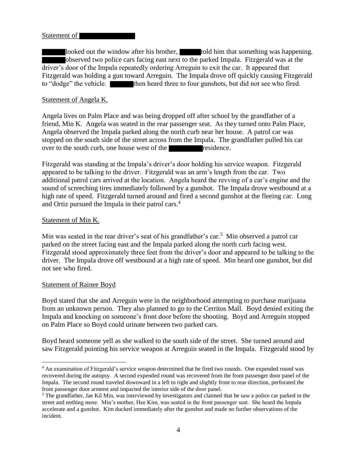#### Statement of

looked out the window after his brother, told him that something was happening. observed two police cars facing east next to the parked Impala. Fitzgerald was at the driver's door of the Impala repeatedly ordering Arreguin to exit the car. It appeared that Fitzgerald was holding a gun toward Arreguin. The Impala drove off quickly causing Fitzgerald to "dodge" the vehicle. then heard three to four gunshots, but did not see who fired.

#### Statement of Angela K.

Angela lives on Palm Place and was being dropped off after school by the grandfather of a friend, Min K. Angela was seated in the rear passenger seat. As they turned onto Palm Place, Angela observed the Impala parked along the north curb near her house. A patrol car was stopped on the south side of the street across from the Impala. The grandfather pulled his car over to the south curb, one house west of the residence.

Fitzgerald was standing at the Impala's driver's door holding his service weapon. Fitzgerald appeared to be talking to the driver. Fitzgerald was an arm's length from the car. Two additional patrol cars arrived at the location. Angela heard the revving of a car's engine and the sound of screeching tires immediately followed by a gunshot. The Impala drove westbound at a high rate of speed. Fitzgerald turned around and fired a second gunshot at the fleeing car. Long and Ortiz pursued the Impala in their patrol cars.<sup>4</sup>

#### Statement of Min K.

Min was seated in the rear driver's seat of his grandfather's car.<sup>5</sup> Min observed a patrol car parked on the street facing east and the Impala parked along the north curb facing west. Fitzgerald stood approximately three feet from the driver's door and appeared to be talking to the driver. The Impala drove off westbound at a high rate of speed. Min heard one gunshot, but did not see who fired.

#### Statement of Rainee Boyd

 $\overline{a}$ 

Boyd stated that she and Arreguin were in the neighborhood attempting to purchase marijuana from an unknown person. They also planned to go to the Cerritos Mall. Boyd denied exiting the Impala and knocking on someone's front door before the shooting. Boyd and Arreguin stopped on Palm Place so Boyd could urinate between two parked cars.

Boyd heard someone yell as she walked to the south side of the street. She turned around and saw Fitzgerald pointing his service weapon at Arreguin seated in the Impala. Fitzgerald stood by

<sup>4</sup> An examination of Fitzgerald's service weapon determined that he fired two rounds. One expended round was recovered during the autopsy. A second expended round was recovered from the front passenger door panel of the Impala. The second round traveled downward in a left to right and slightly front to rear direction, perforated the front passenger door armrest and impacted the interior side of the door panel.

<sup>&</sup>lt;sup>5</sup> The grandfather, Jae Kil Min, was interviewed by investigators and claimed that he saw a police car parked in the street and nothing more. Min's mother, Hee Kim, was seated in the front passenger seat. She heard the Impala accelerate and a gunshot. Kim ducked immediately after the gunshot and made no further observations of the incident.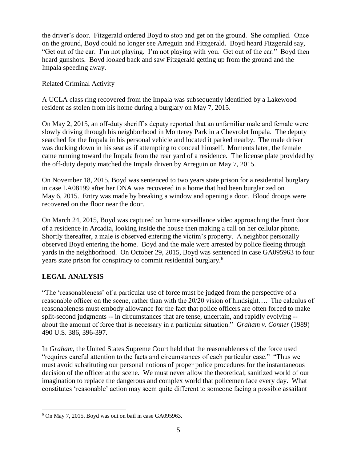the driver's door. Fitzgerald ordered Boyd to stop and get on the ground. She complied. Once on the ground, Boyd could no longer see Arreguin and Fitzgerald. Boyd heard Fitzgerald say, "Get out of the car. I'm not playing. I'm not playing with you. Get out of the car." Boyd then heard gunshots. Boyd looked back and saw Fitzgerald getting up from the ground and the Impala speeding away.

# Related Criminal Activity

A UCLA class ring recovered from the Impala was subsequently identified by a Lakewood resident as stolen from his home during a burglary on May 7, 2015.

On May 2, 2015, an off-duty sheriff's deputy reported that an unfamiliar male and female were slowly driving through his neighborhood in Monterey Park in a Chevrolet Impala. The deputy searched for the Impala in his personal vehicle and located it parked nearby. The male driver was ducking down in his seat as if attempting to conceal himself. Moments later, the female came running toward the Impala from the rear yard of a residence. The license plate provided by the off-duty deputy matched the Impala driven by Arreguin on May 7, 2015.

On November 18, 2015, Boyd was sentenced to two years state prison for a residential burglary in case LA08199 after her DNA was recovered in a home that had been burglarized on May 6, 2015. Entry was made by breaking a window and opening a door. Blood droops were recovered on the floor near the door.

On March 24, 2015, Boyd was captured on home surveillance video approaching the front door of a residence in Arcadia, looking inside the house then making a call on her cellular phone. Shortly thereafter, a male is observed entering the victim's property. A neighbor personally observed Boyd entering the home. Boyd and the male were arrested by police fleeing through yards in the neighborhood. On October 29, 2015, Boyd was sentenced in case GA095963 to four years state prison for conspiracy to commit residential burglary.<sup>6</sup>

# **LEGAL ANALYSIS**

"The 'reasonableness' of a particular use of force must be judged from the perspective of a reasonable officer on the scene, rather than with the 20/20 vision of hindsight…. The calculus of reasonableness must embody allowance for the fact that police officers are often forced to make split-second judgments -- in circumstances that are tense, uncertain, and rapidly evolving - about the amount of force that is necessary in a particular situation." *Graham v. Conner* (1989) 490 U.S. 386, 396-397.

In *Graham*, the United States Supreme Court held that the reasonableness of the force used "requires careful attention to the facts and circumstances of each particular case." "Thus we must avoid substituting our personal notions of proper police procedures for the instantaneous decision of the officer at the scene. We must never allow the theoretical, sanitized world of our imagination to replace the dangerous and complex world that policemen face every day. What constitutes 'reasonable' action may seem quite different to someone facing a possible assailant

 $\overline{a}$ <sup>6</sup> On May 7, 2015, Boyd was out on bail in case GA095963.